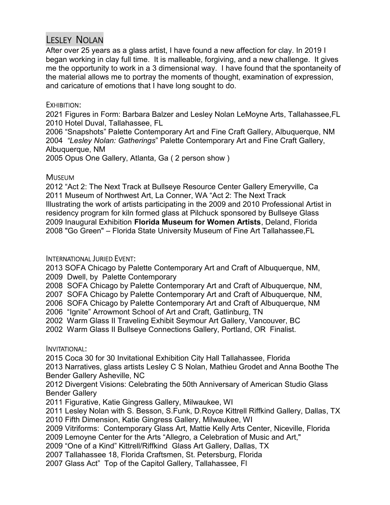# LESLEY NOLAN

After over 25 years as a glass artist, I have found a new affection for clay. In 2019 I began working in clay full time. It is malleable, forgiving, and a new challenge. It gives me the opportunity to work in a 3 dimensional way. I have found that the spontaneity of the material allows me to portray the moments of thought, examination of expression, and caricature of emotions that I have long sought to do.

#### EXHIBITION:

2021 Figures in Form: Barbara Balzer and Lesley Nolan LeMoyne Arts, Tallahassee,FL 2010 Hotel Duval, Tallahassee, FL

2006 "Snapshots" Palette Contemporary Art and Fine Craft Gallery, Albuquerque, NM 2004 "Lesley Nolan: Gatherings" Palette Contemporary Art and Fine Craft Gallery, Albuquerque, NM

2005 Opus One Gallery, Atlanta, Ga ( 2 person show )

### **MUSEUM**

2012 "Act 2: The Next Track at Bullseye Resource Center Gallery Emeryville, Ca 2011 Museum of Northwest Art, La Conner, WA "Act 2: The Next Track Illustrating the work of artists participating in the 2009 and 2010 Professional Artist in residency program for kiln formed glass at Pilchuck sponsored by Bullseye Glass 2009 Inaugural Exhibition Florida Museum for Women Artists, Deland, Florida 2008 "Go Green" – Florida State University Museum of Fine Art Tallahassee,FL

# INTERNATIONAL JURIED EVENT:

2013 SOFA Chicago by Palette Contemporary Art and Craft of Albuquerque, NM, 2009 Dwell, by Palette Contemporary

2008 SOFA Chicago by Palette Contemporary Art and Craft of Albuquerque, NM,

2007 SOFA Chicago by Palette Contemporary Art and Craft of Albuquerque, NM,

2006 SOFA Chicago by Palette Contemporary Art and Craft of Albuquerque, NM

2006 "Ignite" Arrowmont School of Art and Craft, Gatlinburg, TN

2002 Warm Glass II Traveling Exhibit Seymour Art Gallery, Vancouver, BC

2002 Warm Glass II Bullseye Connections Gallery, Portland, OR Finalist.

#### INVITATIONAL:

2015 Coca 30 for 30 Invitational Exhibition City Hall Tallahassee, Florida

2013 Narratives, glass artists Lesley C S Nolan, Mathieu Grodet and Anna Boothe The Bender Gallery Asheville, NC

2012 Divergent Visions: Celebrating the 50th Anniversary of American Studio Glass Bender Gallery

2011 Figurative, Katie Gingress Gallery, Milwaukee, WI

2011 Lesley Nolan with S. Besson, S.Funk, D.Royce Kittrell Riffkind Gallery, Dallas, TX 2010 Fifth Dimension, Katie Gingress Gallery, Milwaukee, WI

2009 Vitriforms: Contemporary Glass Art, Mattie Kelly Arts Center, Niceville, Florida

2009 Lemoyne Center for the Arts "Allegro, a Celebration of Music and Art,"

2009 "One of a Kind" Kittrell/Riffkind Glass Art Gallery, Dallas, TX

2007 Tallahassee 18, Florida Craftsmen, St. Petersburg, Florida

2007 Glass Act" Top of the Capitol Gallery, Tallahassee, Fl